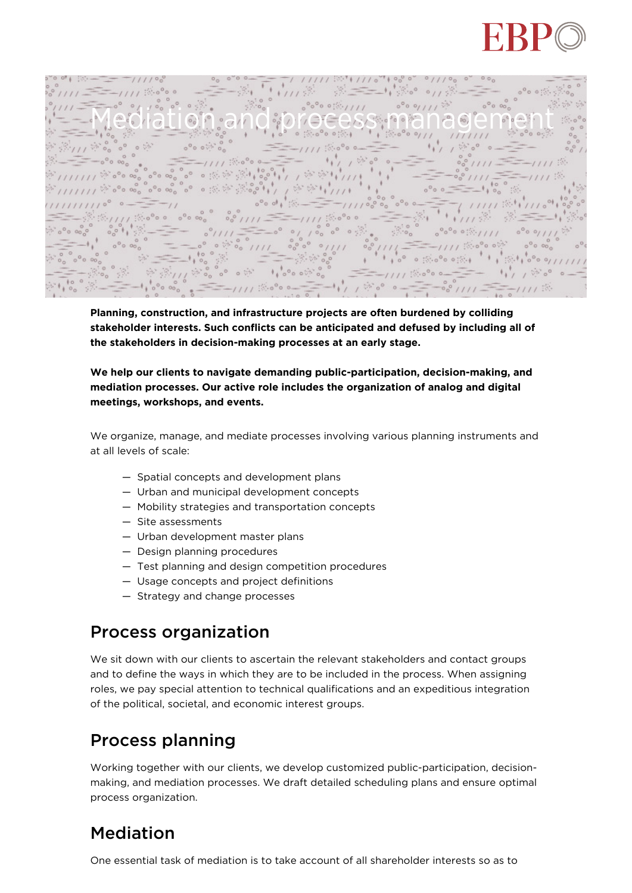

 $0/100$ Mediation and process management

**Planning, construction, and infrastructure projects are often burdened by colliding stakeholder interests. Such conflicts can be anticipated and defused by including all of the stakeholders in decision-making processes at an early stage.**

## **We help our clients to navigate demanding public-participation, decision-making, and mediation processes. Our active role includes the organization of analog and digital meetings, workshops, and events.**

We organize, manage, and mediate processes involving various planning instruments and at all levels of scale:

- Spatial concepts and development plans
- Urban and municipal development concepts
- Mobility strategies and transportation concepts
- Site assessments
- Urban development master plans
- Design planning procedures
- Test planning and design competition procedures
- Usage concepts and project definitions
- Strategy and change processes

## Process organization

We sit down with our clients to ascertain the relevant stakeholders and contact groups and to define the ways in which they are to be included in the process. When assigning roles, we pay special attention to technical qualifications and an expeditious integration of the political, societal, and economic interest groups.

## Process planning

Working together with our clients, we develop customized public-participation, decisionmaking, and mediation processes. We draft detailed scheduling plans and ensure optimal process organization.

## Mediation

One essential task of mediation is to take account of all shareholder interests so as to